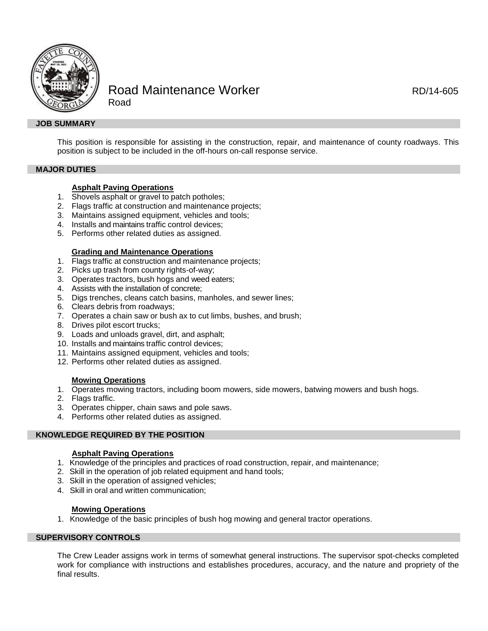

# Road Maintenance Worker **ROAD ROMAN** RD/14-605 Road

### **JOB SUMMARY**

This position is responsible for assisting in the construction, repair, and maintenance of county roadways. This position is subject to be included in the off-hours on-call response service.

### **MAJOR DUTIES**

### **Asphalt Paving Operations**

- 1. Shovels asphalt or gravel to patch potholes;
- 2. Flags traffic at construction and maintenance projects;
- 3. Maintains assigned equipment, vehicles and tools;
- 4. Installs and maintains traffic control devices;
- 5. Performs other related duties as assigned.

#### **Grading and Maintenance Operations**

- 1. Flags traffic at construction and maintenance projects;
- 2. Picks up trash from county rights-of-way;
- 3. Operates tractors, bush hogs and weed eaters;
- 4. Assists with the installation of concrete;
- 5. Digs trenches, cleans catch basins, manholes, and sewer lines;
- 6. Clears debris from roadways;
- 7. Operates a chain saw or bush ax to cut limbs, bushes, and brush;
- 8. Drives pilot escort trucks;
- 9. Loads and unloads gravel, dirt, and asphalt;
- 10. Installs and maintains traffic control devices;
- 11. Maintains assigned equipment, vehicles and tools;
- 12. Performs other related duties as assigned.

### **Mowing Operations**

- 1. Operates mowing tractors, including boom mowers, side mowers, batwing mowers and bush hogs.
- 2. Flags traffic.
- 3. Operates chipper, chain saws and pole saws.
- 4. Performs other related duties as assigned.

### **KNOWLEDGE REQUIRED BY THE POSITION**

#### **Asphalt Paving Operations**

- 1. Knowledge of the principles and practices of road construction, repair, and maintenance;
- 2. Skill in the operation of job related equipment and hand tools;
- 3. Skill in the operation of assigned vehicles;
- 4. Skill in oral and written communication;

### **Mowing Operations**

1. Knowledge of the basic principles of bush hog mowing and general tractor operations.

## **SUPERVISORY CONTROLS**

The Crew Leader assigns work in terms of somewhat general instructions. The supervisor spot-checks completed work for compliance with instructions and establishes procedures, accuracy, and the nature and propriety of the final results.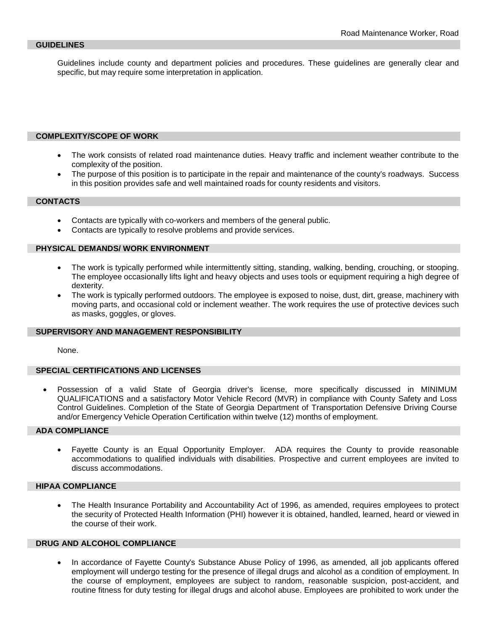Guidelines include county and department policies and procedures. These guidelines are generally clear and specific, but may require some interpretation in application.

### **COMPLEXITY/SCOPE OF WORK**

- The work consists of related road maintenance duties. Heavy traffic and inclement weather contribute to the complexity of the position.
- The purpose of this position is to participate in the repair and maintenance of the county's roadways. Success in this position provides safe and well maintained roads for county residents and visitors.

### **CONTACTS**

- Contacts are typically with co-workers and members of the general public.
- Contacts are typically to resolve problems and provide services.

### **PHYSICAL DEMANDS/ WORK ENVIRONMENT**

- The work is typically performed while intermittently sitting, standing, walking, bending, crouching, or stooping. The employee occasionally lifts light and heavy objects and uses tools or equipment requiring a high degree of dexterity.
- The work is typically performed outdoors. The employee is exposed to noise, dust, dirt, grease, machinery with moving parts, and occasional cold or inclement weather. The work requires the use of protective devices such as masks, goggles, or gloves.

### **SUPERVISORY AND MANAGEMENT RESPONSIBILITY**

None.

### **SPECIAL CERTIFICATIONS AND LICENSES**

• Possession of a valid State of Georgia driver's license, more specifically discussed in MINIMUM QUALIFICATIONS and a satisfactory Motor Vehicle Record (MVR) in compliance with County Safety and Loss Control Guidelines. Completion of the State of Georgia Department of Transportation Defensive Driving Course and/or Emergency Vehicle Operation Certification within twelve (12) months of employment.

### **ADA COMPLIANCE**

• Fayette County is an Equal Opportunity Employer. ADA requires the County to provide reasonable accommodations to qualified individuals with disabilities. Prospective and current employees are invited to discuss accommodations.

### **HIPAA COMPLIANCE**

• The Health Insurance Portability and Accountability Act of 1996, as amended, requires employees to protect the security of Protected Health Information (PHI) however it is obtained, handled, learned, heard or viewed in the course of their work.

### **DRUG AND ALCOHOL COMPLIANCE**

• In accordance of Fayette County's Substance Abuse Policy of 1996, as amended, all job applicants offered employment will undergo testing for the presence of illegal drugs and alcohol as a condition of employment. In the course of employment, employees are subject to random, reasonable suspicion, post-accident, and routine fitness for duty testing for illegal drugs and alcohol abuse. Employees are prohibited to work under the